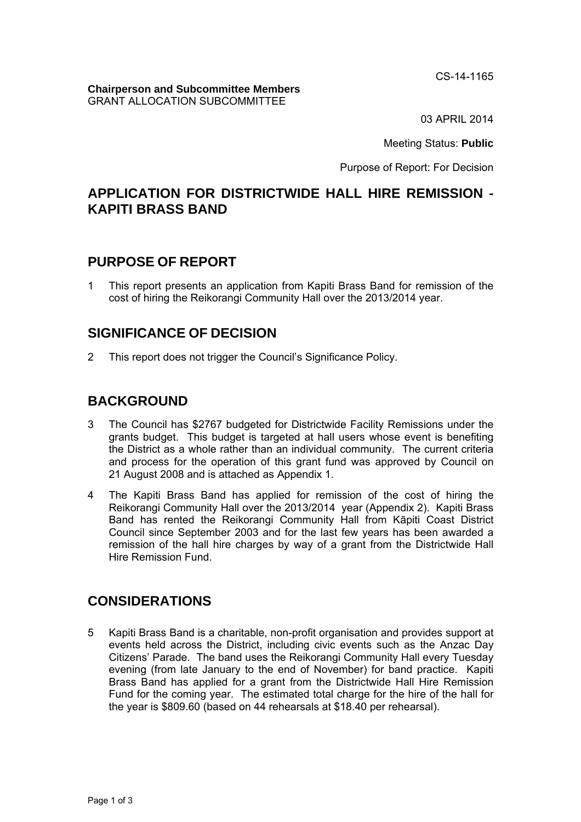CS-14-1165

#### **Chairperson and Subcommittee Members**  GRANT ALLOCATION SUBCOMMITTEE

03 APRIL 2014

Meeting Status: **Public**

Purpose of Report: For Decision

## **APPLICATION FOR DISTRICTWIDE HALL HIRE REMISSION - KAPITI BRASS BAND**

## **PURPOSE OF REPORT**

1 This report presents an application from Kapiti Brass Band for remission of the cost of hiring the Reikorangi Community Hall over the 2013/2014 year.

## **SIGNIFICANCE OF DECISION**

2 This report does not trigger the Council's Significance Policy.

# **BACKGROUND**

- 3 The Council has \$2767 budgeted for Districtwide Facility Remissions under the grants budget. This budget is targeted at hall users whose event is benefiting the District as a whole rather than an individual community. The current criteria and process for the operation of this grant fund was approved by Council on 21 August 2008 and is attached as Appendix 1.
- 4 The Kapiti Brass Band has applied for remission of the cost of hiring the Reikorangi Community Hall over the 2013/2014 year (Appendix 2). Kapiti Brass Band has rented the Reikorangi Community Hall from Kāpiti Coast District Council since September 2003 and for the last few years has been awarded a remission of the hall hire charges by way of a grant from the Districtwide Hall Hire Remission Fund.

## **CONSIDERATIONS**

5 Kapiti Brass Band is a charitable, non-profit organisation and provides support at events held across the District, including civic events such as the Anzac Day Citizens' Parade. The band uses the Reikorangi Community Hall every Tuesday evening (from late January to the end of November) for band practice. Kapiti Brass Band has applied for a grant from the Districtwide Hall Hire Remission Fund for the coming year. The estimated total charge for the hire of the hall for the year is \$809.60 (based on 44 rehearsals at \$18.40 per rehearsal).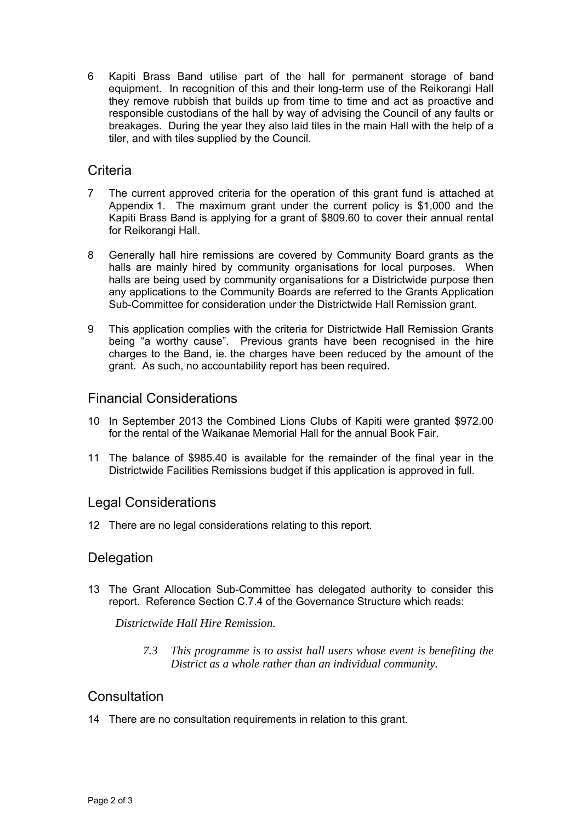6 Kapiti Brass Band utilise part of the hall for permanent storage of band equipment. In recognition of this and their long-term use of the Reikorangi Hall they remove rubbish that builds up from time to time and act as proactive and responsible custodians of the hall by way of advising the Council of any faults or breakages. During the year they also laid tiles in the main Hall with the help of a tiler, and with tiles supplied by the Council.

## **Criteria**

- 7 The current approved criteria for the operation of this grant fund is attached at Appendix 1. The maximum grant under the current policy is \$1,000 and the Kapiti Brass Band is applying for a grant of \$809.60 to cover their annual rental for Reikorangi Hall.
- 8 Generally hall hire remissions are covered by Community Board grants as the halls are mainly hired by community organisations for local purposes. When halls are being used by community organisations for a Districtwide purpose then any applications to the Community Boards are referred to the Grants Application Sub-Committee for consideration under the Districtwide Hall Remission grant.
- 9 This application complies with the criteria for Districtwide Hall Remission Grants being "a worthy cause". Previous grants have been recognised in the hire charges to the Band, ie. the charges have been reduced by the amount of the grant. As such, no accountability report has been required.

## Financial Considerations

- 10 In September 2013 the Combined Lions Clubs of Kapiti were granted \$972.00 for the rental of the Waikanae Memorial Hall for the annual Book Fair.
- 11 The balance of \$985.40 is available for the remainder of the final year in the Districtwide Facilities Remissions budget if this application is approved in full.

## Legal Considerations

12 There are no legal considerations relating to this report.

## **Delegation**

13 The Grant Allocation Sub-Committee has delegated authority to consider this report. Reference Section C.7.4 of the Governance Structure which reads:

*Districtwide Hall Hire Remission.* 

*7.3 This programme is to assist hall users whose event is benefiting the District as a whole rather than an individual community.* 

## **Consultation**

14 There are no consultation requirements in relation to this grant.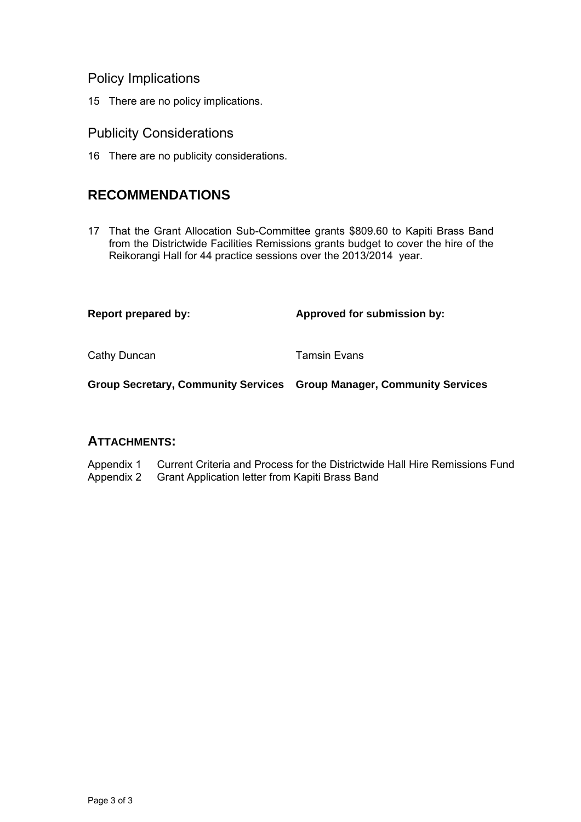## Policy Implications

15 There are no policy implications.

### Publicity Considerations

16 There are no publicity considerations.

# **RECOMMENDATIONS**

17 That the Grant Allocation Sub-Committee grants \$809.60 to Kapiti Brass Band from the Districtwide Facilities Remissions grants budget to cover the hire of the Reikorangi Hall for 44 practice sessions over the 2013/2014 year.

Report prepared by: **Approved for submission by:**  $\blacksquare$ 

Cathy Duncan **Tamsin Evans** 

**Group Secretary, Community Services Group Manager, Community Services** 

### **ATTACHMENTS:**

Appendix 1 Current Criteria and Process for the Districtwide Hall Hire Remissions Fund Appendix 2 Grant Application letter from Kapiti Brass Band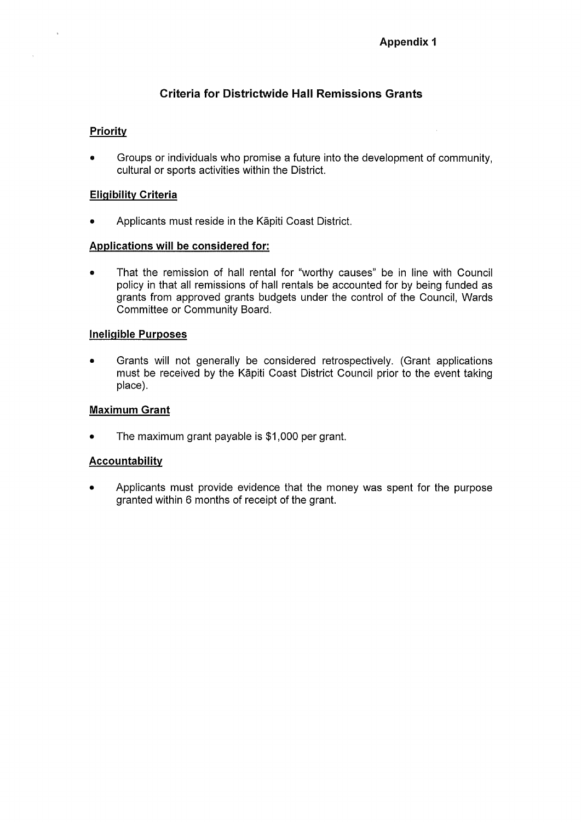### **Criteria for Districtwide Hall Remissions Grants**

### **Priority**

 $\ddot{\phantom{0}}$ 

Groups or individuals who promise a future into the development of community,  $\bullet$ cultural or sports activities within the District.

#### **Eligibility Criteria**

Applicants must reside in the Kāpiti Coast District.  $\bullet$ 

#### Applications will be considered for:

That the remission of hall rental for "worthy causes" be in line with Council  $\bullet$ policy in that all remissions of hall rentals be accounted for by being funded as grants from approved grants budgets under the control of the Council, Wards Committee or Community Board.

#### **Ineligible Purposes**

Grants will not generally be considered retrospectively. (Grant applications  $\bullet$ must be received by the Kāpiti Coast District Council prior to the event taking place).

#### **Maximum Grant**

The maximum grant payable is \$1,000 per grant.  $\bullet$ 

#### **Accountability**

Applicants must provide evidence that the money was spent for the purpose  $\bullet$ granted within 6 months of receipt of the grant.